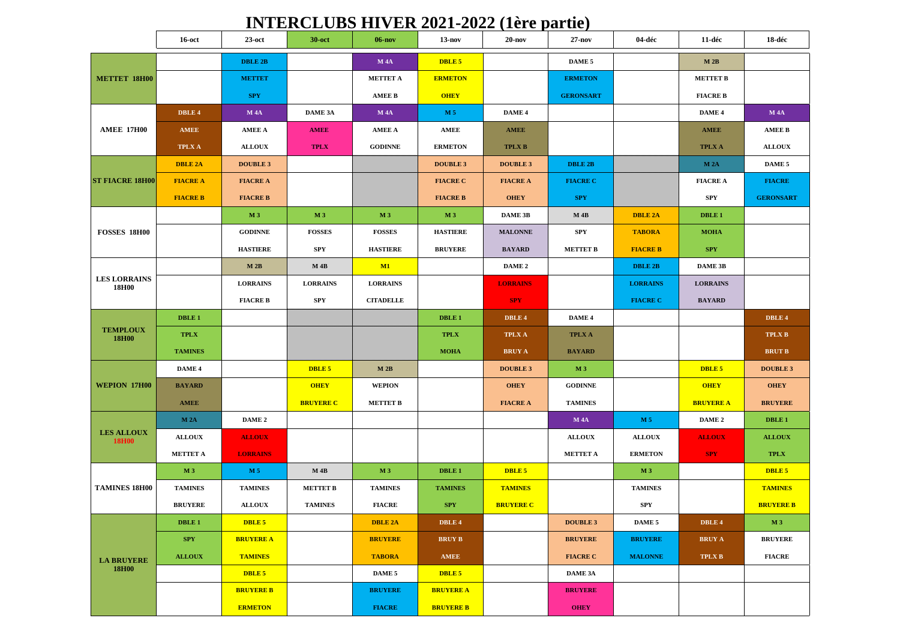## **INTERCLUBS HIVER 2021-2022 (1ère partie)**

|                                   | $16$ -oct       | $23$ -oct        | $30$ -oct        | $06-nov$         | $13-nov$         | $20 - nov$       | $27 - nov$       | 04-déc          | 11-déc           | 18-déc           |
|-----------------------------------|-----------------|------------------|------------------|------------------|------------------|------------------|------------------|-----------------|------------------|------------------|
|                                   |                 | <b>DBLE 2B</b>   |                  | <b>M4A</b>       | DBLE 5           |                  | DAME 5           |                 | M 2B             |                  |
| <b>METTET 18H00</b>               |                 | <b>METTET</b>    |                  | <b>METTET A</b>  | <b>ERMETON</b>   |                  | <b>ERMETON</b>   |                 | <b>METTET B</b>  |                  |
|                                   |                 | <b>SPY</b>       |                  | <b>AMEE B</b>    | <b>OHEY</b>      |                  | <b>GERONSART</b> |                 | <b>FIACRE B</b>  |                  |
| <b>AMEE 17H00</b>                 | DBLE 4          | <b>M4A</b>       | DAME 3A          | <b>M4A</b>       | M 5              | DAME 4           |                  |                 | DAME 4           | <b>M4A</b>       |
|                                   | <b>AMEE</b>     | <b>AMEE A</b>    | <b>AMEE</b>      | <b>AMEE A</b>    | <b>AMEE</b>      | <b>AMEE</b>      |                  |                 | <b>AMEE</b>      | <b>AMEE B</b>    |
|                                   | <b>TPLX A</b>   | <b>ALLOUX</b>    | <b>TPLX</b>      | <b>GODINNE</b>   | <b>ERMETON</b>   | <b>TPLX B</b>    |                  |                 | <b>TPLX A</b>    | <b>ALLOUX</b>    |
| <b>ST FIACRE 18H00</b>            | <b>DBLE 2A</b>  | <b>DOUBLE 3</b>  |                  |                  | <b>DOUBLE 3</b>  | <b>DOUBLE 3</b>  | <b>DBLE 2B</b>   |                 | <b>M2A</b>       | DAME 5           |
|                                   | <b>FIACRE A</b> | <b>FIACRE A</b>  |                  |                  | <b>FIACRE C</b>  | <b>FIACRE A</b>  | <b>FIACRE C</b>  |                 | <b>FIACRE A</b>  | <b>FIACRE</b>    |
|                                   | <b>FIACRE B</b> | <b>FIACRE B</b>  |                  |                  | <b>FIACRE B</b>  | <b>OHEY</b>      | <b>SPY</b>       |                 | <b>SPY</b>       | <b>GERONSART</b> |
| <b>FOSSES 18H00</b>               |                 | M <sub>3</sub>   | M <sub>3</sub>   | M <sub>3</sub>   | M <sub>3</sub>   | DAME 3B          | $M$ 4B           | <b>DBLE 2A</b>  | DBLE 1           |                  |
|                                   |                 | <b>GODINNE</b>   | <b>FOSSES</b>    | <b>FOSSES</b>    | <b>HASTIERE</b>  | <b>MALONNE</b>   | <b>SPY</b>       | <b>TABORA</b>   | <b>MOHA</b>      |                  |
|                                   |                 | <b>HASTIERE</b>  | SPY              | <b>HASTIERE</b>  | <b>BRUYERE</b>   | <b>BAYARD</b>    | <b>METTET B</b>  | <b>FIACRE B</b> | <b>SPY</b>       |                  |
| <b>LES LORRAINS</b><br>18H00      |                 | M 2B             | $M$ 4B           | M1               |                  | DAME 2           |                  | <b>DBLE 2B</b>  | <b>DAME 3B</b>   |                  |
|                                   |                 | <b>LORRAINS</b>  | <b>LORRAINS</b>  | <b>LORRAINS</b>  |                  | <b>LORRAINS</b>  |                  | <b>LORRAINS</b> | <b>LORRAINS</b>  |                  |
|                                   |                 | <b>FIACRE B</b>  | <b>SPY</b>       | <b>CITADELLE</b> |                  | <b>SPY</b>       |                  | <b>FIACRE C</b> | <b>BAYARD</b>    |                  |
| <b>TEMPLOUX</b><br><b>18H00</b>   | DBLE 1          |                  |                  |                  | <b>DBLE1</b>     | DBLE 4           | DAME 4           |                 |                  | DBLE 4           |
|                                   | <b>TPLX</b>     |                  |                  |                  | <b>TPLX</b>      | TPLX A           | <b>TPLX A</b>    |                 |                  | <b>TPLX B</b>    |
|                                   | <b>TAMINES</b>  |                  |                  |                  | <b>MOHA</b>      | <b>BRUY A</b>    | <b>BAYARD</b>    |                 |                  | <b>BRUT B</b>    |
|                                   | DAME 4          |                  | DBLE 5           | M 2B             |                  | <b>DOUBLE 3</b>  | M 3              |                 | DBLE 5           | <b>DOUBLE 3</b>  |
| <b>WEPION 17H00</b>               | <b>BAYARD</b>   |                  | <b>OHEY</b>      | <b>WEPION</b>    |                  | <b>OHEY</b>      | <b>GODINNE</b>   |                 | <b>OHEY</b>      | <b>OHEY</b>      |
|                                   | <b>AMEE</b>     |                  | <b>BRUYERE C</b> | <b>METTET B</b>  |                  | <b>FIACRE A</b>  | <b>TAMINES</b>   |                 | <b>BRUYERE A</b> | <b>BRUYERE</b>   |
| <b>LES ALLOUX</b><br><b>18H00</b> | <b>M2A</b>      | DAME 2           |                  |                  |                  |                  | <b>M4A</b>       | M 5             | DAME 2           | DBLE 1           |
|                                   | <b>ALLOUX</b>   | <b>ALLOUX</b>    |                  |                  |                  |                  | <b>ALLOUX</b>    | <b>ALLOUX</b>   | <b>ALLOUX</b>    | <b>ALLOUX</b>    |
|                                   | <b>METTET A</b> | <b>LORRAINS</b>  |                  |                  |                  |                  | <b>METTET A</b>  | <b>ERMETON</b>  | <b>SPY</b>       | <b>TPLX</b>      |
| <b>TAMINES 18H00</b>              | <b>M3</b>       | M <sub>5</sub>   | $M$ 4B           | <b>M3</b>        | DBLE 1           | DBLE 5           |                  | M <sub>3</sub>  |                  | DBLE 5           |
|                                   | <b>TAMINES</b>  | <b>TAMINES</b>   | <b>METTET B</b>  | <b>TAMINES</b>   | <b>TAMINES</b>   | <b>TAMINES</b>   |                  | <b>TAMINES</b>  |                  | <b>TAMINES</b>   |
|                                   | <b>BRUYERE</b>  | <b>ALLOUX</b>    | <b>TAMINES</b>   | <b>FIACRE</b>    | <b>SPY</b>       | <b>BRUYERE C</b> |                  | <b>SPY</b>      |                  | <b>BRUYERE B</b> |
| <b>LA BRUYERE</b><br><b>18H00</b> | <b>DBLE1</b>    | DBLE 5           |                  | <b>DBLE 2A</b>   | DBLE 4           |                  | <b>DOUBLE 3</b>  | DAME 5          | DBLE 4           | M 3              |
|                                   | <b>SPY</b>      | <b>BRUYERE A</b> |                  | <b>BRUYERE</b>   | <b>BRUY B</b>    |                  | <b>BRUYERE</b>   | <b>BRUYERE</b>  | <b>BRUY A</b>    | <b>BRUYERE</b>   |
|                                   | <b>ALLOUX</b>   | <b>TAMINES</b>   |                  | <b>TABORA</b>    | AMEE             |                  | <b>FIACRE C</b>  | <b>MALONNE</b>  | TPLX B           | <b>FIACRE</b>    |
|                                   |                 | DBLE 5           |                  | DAME 5           | DBLE 5           |                  | DAME 3A          |                 |                  |                  |
|                                   |                 | <b>BRUYERE B</b> |                  | <b>BRUYERE</b>   | <b>BRUYERE A</b> |                  | <b>BRUYERE</b>   |                 |                  |                  |
|                                   |                 | <b>ERMETON</b>   |                  | <b>FIACRE</b>    | <b>BRUYERE B</b> |                  | <b>OHEY</b>      |                 |                  |                  |